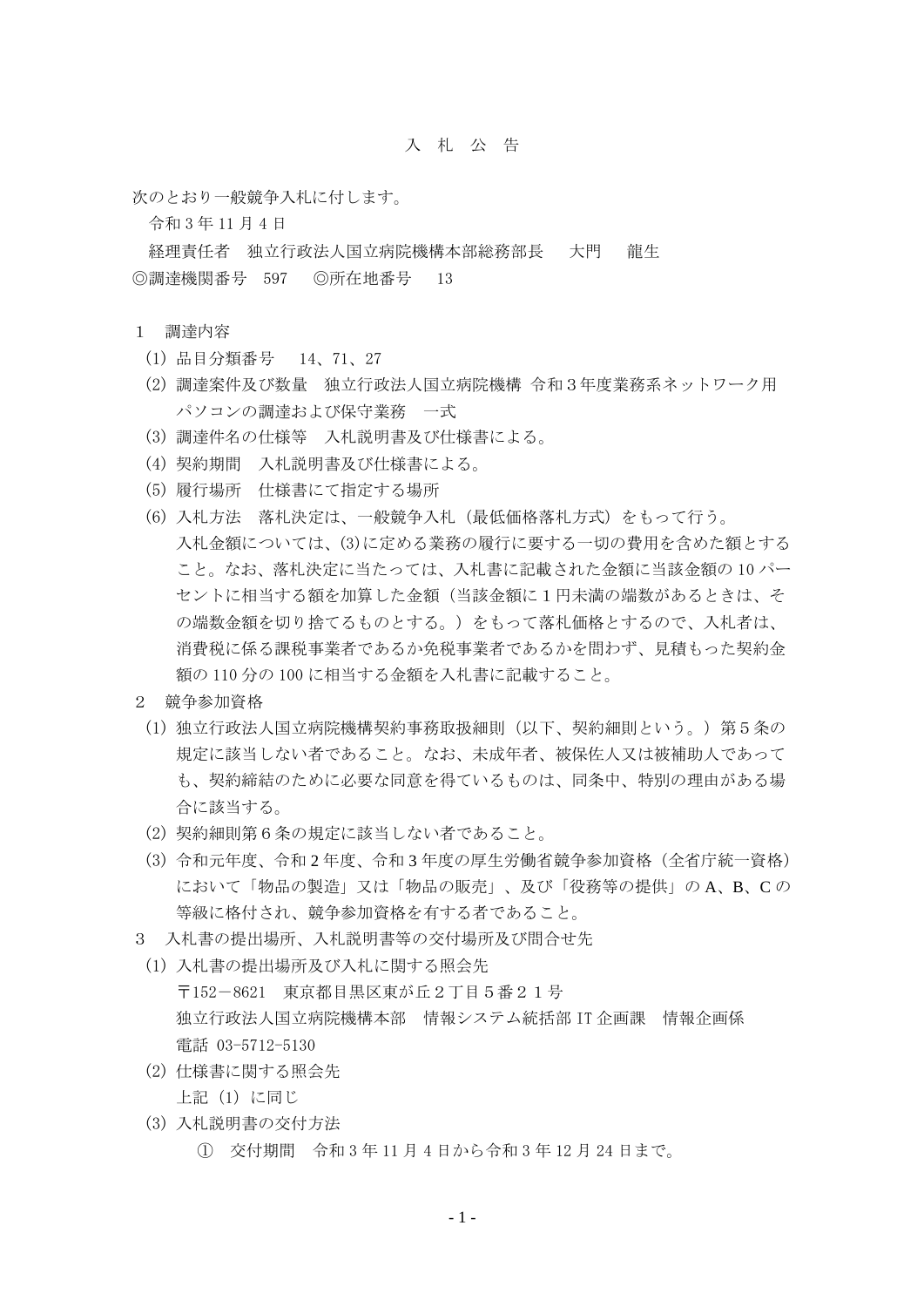## 入 札 公 告

次のとおり一般競争入札に付します。

令和 3 年 11 月 4 日

経理責任者 独立行政法人国立病院機構本部総務部長 大門 龍生 ◎調達機関番号 597 ◎所在地番号 13

- 1 調達内容
	- (1) 品目分類番号 14、71、27
	- (2) 調達案件及び数量 独立行政法人国立病院機構 令和3年度業務系ネットワーク用 パソコンの調達および保守業務 一式
	- (3) 調達件名の仕様等 入札説明書及び仕様書による。
	- (4) 契約期間 入札説明書及び仕様書による。
	- (5) 履行場所 仕様書にて指定する場所
	- (6) 入札方法 落札決定は、一般競争入札(最低価格落札方式)をもって行う。 入札金額については、(3)に定める業務の履行に要する一切の費用を含めた額とする こと。なお、落札決定に当たっては、入札書に記載された金額に当該金額の 10 パー セントに相当する額を加算した金額(当該金額に1円未満の端数があるときは、そ の端数金額を切り捨てるものとする。)をもって落札価格とするので、入札者は、 消費税に係る課税事業者であるか免税事業者であるかを問わず、見積もった契約金 額の 110 分の 100 に相当する金額を入札書に記載すること。
- 2 競争参加資格
- (1) 独立行政法人国立病院機構契約事務取扱細則(以下、契約細則という。)第5条の 規定に該当しない者であること。なお、未成年者、被保佐人又は被補助人であって も、契約締結のために必要な同意を得ているものは、同条中、特別の理由がある場 合に該当する。
- (2) 契約細則第6条の規定に該当しない者であること。
- (3) 令和元年度、令和 2 年度、令和 3 年度の厚生労働省競争参加資格(全省庁統一資格) において「物品の製造」又は「物品の販売」、及び「役務等の提供」の A、B、C の 等級に格付され、競争参加資格を有する者であること。
- 3 入札書の提出場所、入札説明書等の交付場所及び問合せ先
	- (1) 入札書の提出場所及び入札に関する照会先 〒152-8621 東京都目黒区東が丘2丁目5番21号 独立行政法人国立病院機構本部 情報システム統括部 IT 企画課 情報企画係 電話 03-5712-5130
	- (2) 仕様書に関する照会先 上記(1)に同じ
	- (3) 入札説明書の交付方法
		- ① 交付期間 令和 3 年 11 月 4 日から令和 3 年 12 月 24 日まで。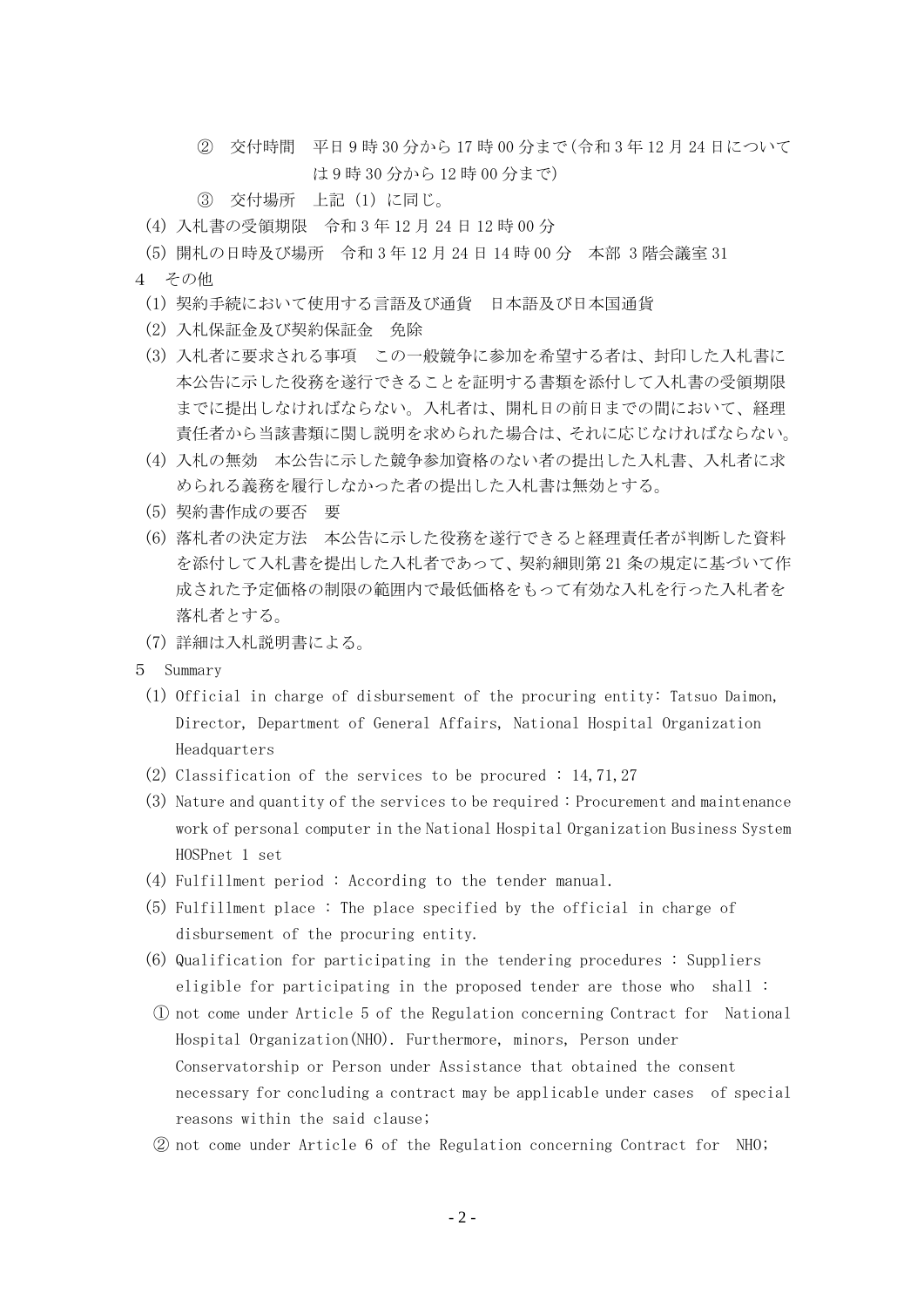- ② 交付時間 平日 9 時 30 分から 17 時 00 分まで(令和 3 年 12 月 24 日について は 9 時 30 分から 12 時 00 分まで)
- ③ 交付場所 上記(1)に同じ。
- (4) 入札書の受領期限 令和 3 年 12 月 24 日 12 時 00 分
- (5) 開札の日時及び場所 令和 3 年 12 月 24 日 14 時 00 分 本部 3 階会議室 31
- 4 その他
	- (1) 契約手続において使用する言語及び通貨 日本語及び日本国通貨
	- (2) 入札保証金及び契約保証金 免除
	- (3) 入札者に要求される事項 この一般競争に参加を希望する者は、封印した入札書に 本公告に示した役務を遂行できることを証明する書類を添付して入札書の受領期限 までに提出しなければならない。入札者は、開札日の前日までの間において、経理 責任者から当該書類に関し説明を求められた場合は、それに応じなければならない。
	- (4) 入札の無効 本公告に示した競争参加資格のない者の提出した入札書、入札者に求 められる義務を履行しなかった者の提出した入札書は無効とする。
	- (5) 契約書作成の要否 要
	- (6) 落札者の決定方法 本公告に示した役務を遂行できると経理責任者が判断した資料 を添付して入札書を提出した入札者であって、契約細則第 21 条の規定に基づいて作 成された予定価格の制限の範囲内で最低価格をもって有効な入札を行った入札者を 落札者とする。
	- (7) 詳細は入札説明書による。
- 5 Summary
	- (1) Official in charge of disbursement of the procuring entity: Tatsuo Daimon, Director, Department of General Affairs, National Hospital Organization Headquarters
	- (2) Classification of the services to be procured : 14,71,27
	- (3) Nature and quantity of the services to be required : Procurement and maintenance work of personal computer in the National Hospital Organization Business System HOSPnet 1 set
	- (4) Fulfillment period : According to the tender manual.
	- (5) Fulfillment place : The place specified by the official in charge of disbursement of the procuring entity.
	- (6) Qualification for participating in the tendering procedures : Suppliers eligible for participating in the proposed tender are those who shall :
	- ① not come under Article 5 of the Regulation concerning Contract for National Hospital Organization(NHO). Furthermore, minors, Person under Conservatorship or Person under Assistance that obtained the consent necessary for concluding a contract may be applicable under cases of special reasons within the said clause;
	- ② not come under Article 6 of the Regulation concerning Contract for NHO;